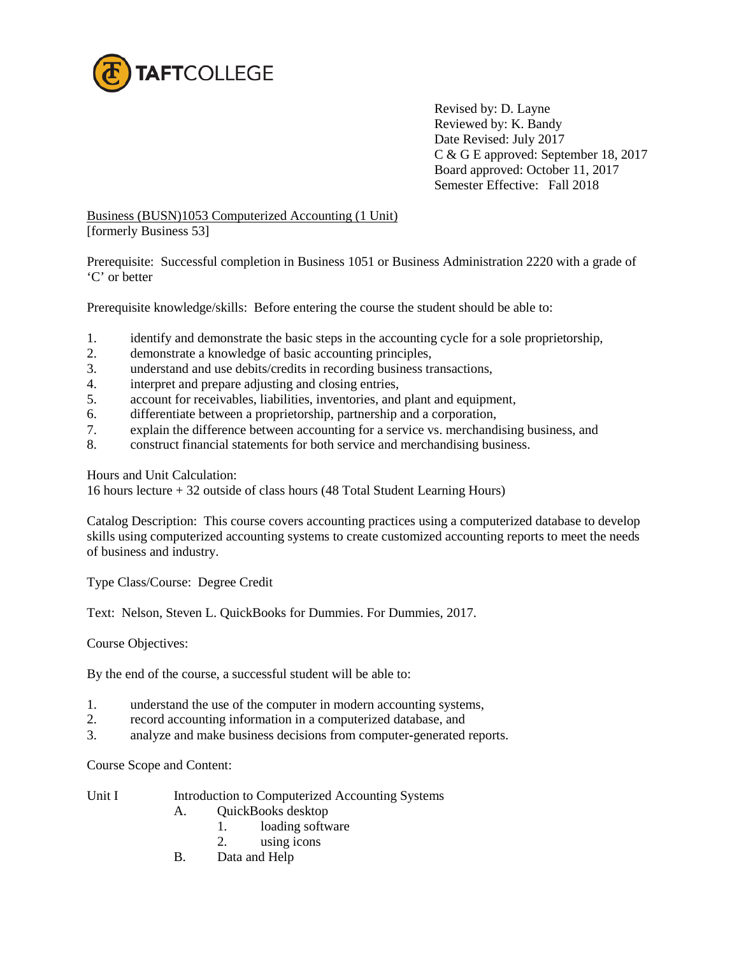

Revised by: D. Layne Reviewed by: K. Bandy Date Revised: July 2017 C & G E approved: September 18, 2017 Board approved: October 11, 2017 Semester Effective: Fall 2018

Business (BUSN)1053 Computerized Accounting (1 Unit) [formerly Business 53]

Prerequisite: Successful completion in Business 1051 or Business Administration 2220 with a grade of 'C' or better

Prerequisite knowledge/skills: Before entering the course the student should be able to:

- 1. identify and demonstrate the basic steps in the accounting cycle for a sole proprietorship,
- 2. demonstrate a knowledge of basic accounting principles,
- 3. understand and use debits/credits in recording business transactions,
- 4. interpret and prepare adjusting and closing entries,
- 5. account for receivables, liabilities, inventories, and plant and equipment,
- 6. differentiate between a proprietorship, partnership and a corporation,
- 7. explain the difference between accounting for a service vs. merchandising business, and
- 8. construct financial statements for both service and merchandising business.

Hours and Unit Calculation:

16 hours lecture + 32 outside of class hours (48 Total Student Learning Hours)

Catalog Description: This course covers accounting practices using a computerized database to develop skills using computerized accounting systems to create customized accounting reports to meet the needs of business and industry.

Type Class/Course: Degree Credit

Text: Nelson, Steven L. QuickBooks for Dummies. For Dummies, 2017.

Course Objectives:

By the end of the course, a successful student will be able to:

- 1. understand the use of the computer in modern accounting systems,
- 2. record accounting information in a computerized database, and
- 3. analyze and make business decisions from computer**-**generated reports.

Course Scope and Content:

| Unit I |  |  | Introduction to Computerized Accounting Systems |
|--------|--|--|-------------------------------------------------|
|--------|--|--|-------------------------------------------------|

- A. QuickBooks desktop
	- 1. loading software
	- 2. using icons
- B. Data and Help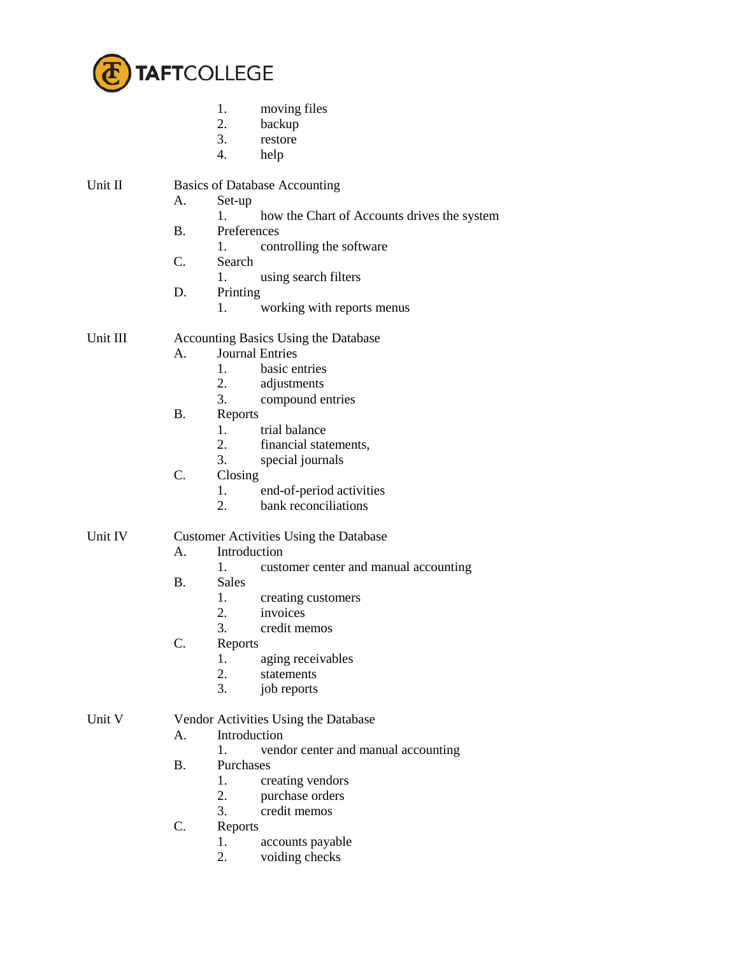

- 1. moving files
- 2. backup
- 3. restore
- 4. help

# Unit II Basics of Database Accounting

- A. Set-up
	- 1. how the Chart of Accounts drives the system
- B. Preferences
	- 1. controlling the software
- C. Search
	- 1. using search filters
- D. Printing
	- 1. working with reports menus

#### Unit III Accounting Basics Using the Database

- A. Journal Entries
	- 1. basic entries
	- 2. adjustments
	- 3. compound entries
- B. Reports
	- 1. trial balance
	- 2. financial statements,
	- 3. special journals
- C. Closing
	- 1. end-of-period activities
	- 2. bank reconciliations

## Unit IV Customer Activities Using the Database

- A. Introduction
	- 1. customer center and manual accounting
- B. Sales
	- 1. creating customers
	- 2. invoices
	- 3. credit memos
- C. Reports
	- 1. aging receivables
	- 2. statements
	- 3. job reports

## Unit V Vendor Activities Using the Database

- A. Introduction
	- 1. vendor center and manual accounting
- B. Purchases
	- 1. creating vendors
	- 2. purchase orders
	- 3. credit memos
- C. Reports
	- 1. accounts payable<br>2. voiding checks
	- voiding checks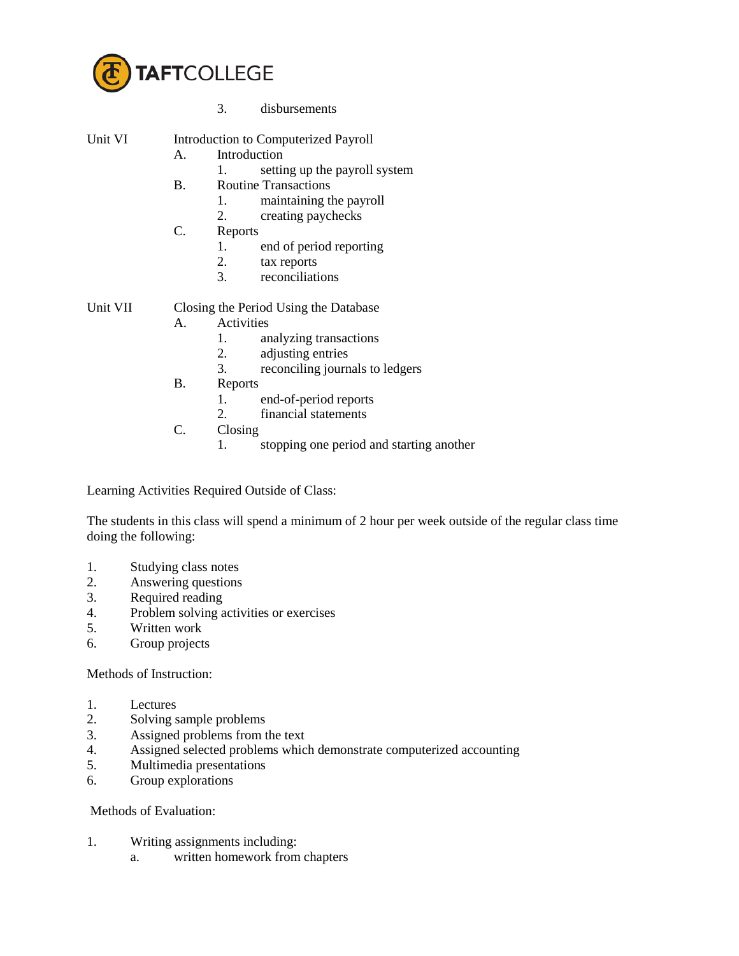

| Unit VI |  | Introduction to Computerized Payroll |  |
|---------|--|--------------------------------------|--|
|---------|--|--------------------------------------|--|

- A. Introduction
	- 1. setting up the payroll system
	- B. Routine Transactions
		- 1. maintaining the payroll
		- 2. creating paychecks
	- C. Reports
		- 1. end of period reporting
		- 2. tax reports
		- 3. reconciliations

- Unit VII Closing the Period Using the Database
	- A. Activities
		- 1. analyzing transactions
		- 2. adjusting entries
		- 3. reconciling journals to ledgers
		- B. Reports
			- 1. end-of-period reports<br>2. financial statements
			- financial statements
		- C. Closing
			- 1. stopping one period and starting another

Learning Activities Required Outside of Class:

The students in this class will spend a minimum of 2 hour per week outside of the regular class time doing the following:

- 1. Studying class notes
- 2. Answering questions
- 3. Required reading
- 4. Problem solving activities or exercises
- 5. Written work
- 6. Group projects

Methods of Instruction:

- 1. Lectures
- 2. Solving sample problems
- 3. Assigned problems from the text<br>4. Assigned selected problems which
- 4. Assigned selected problems which demonstrate computerized accounting
- 5. Multimedia presentations
- 6. Group explorations

#### Methods of Evaluation:

- 1. Writing assignments including:
	- a. written homework from chapters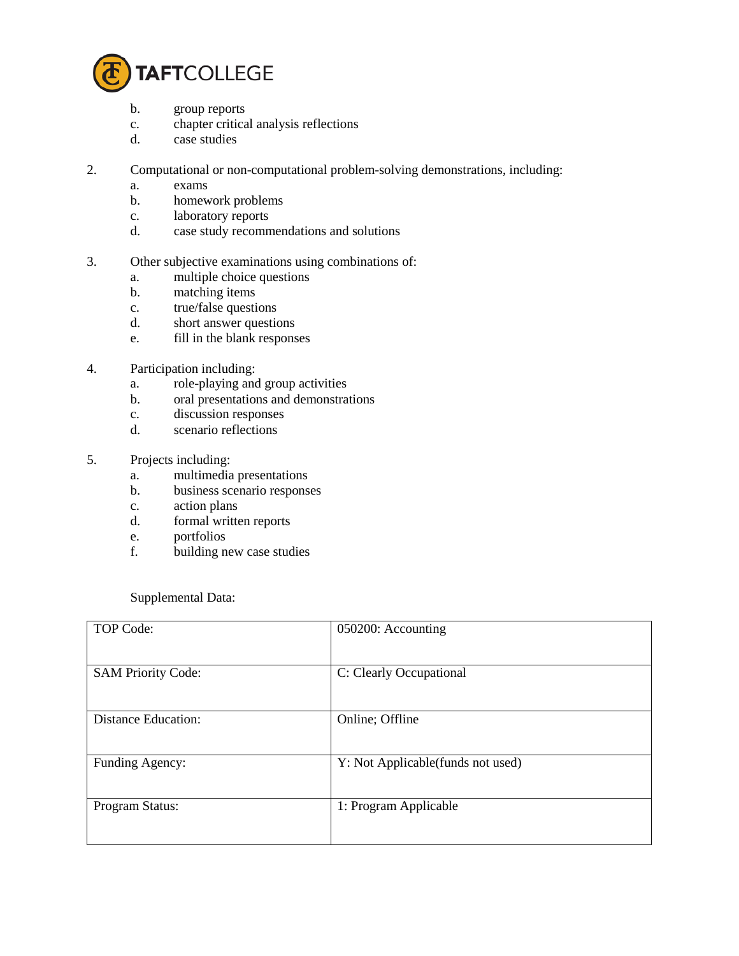

- b. group reports
- c. chapter critical analysis reflections
- d. case studies
- 2. Computational or non-computational problem-solving demonstrations, including:
	- a. exams
	- b. homework problems
	- c. laboratory reports
	- d. case study recommendations and solutions
- 3. Other subjective examinations using combinations of:
	- a. multiple choice questions
	- b. matching items
	- c. true/false questions
	- d. short answer questions
	- e. fill in the blank responses
- 4. Participation including:
	- a. role-playing and group activities
	- b. oral presentations and demonstrations
	- c. discussion responses
	- d. scenario reflections
- 5. Projects including:
	- a. multimedia presentations
	- b. business scenario responses
	- c. action plans
	- d. formal written reports
	- e. portfolios
	- f. building new case studies

Supplemental Data:

| TOP Code:                  | 050200: Accounting                |
|----------------------------|-----------------------------------|
| <b>SAM Priority Code:</b>  | C: Clearly Occupational           |
| <b>Distance Education:</b> | Online; Offline                   |
| Funding Agency:            | Y: Not Applicable(funds not used) |
| Program Status:            | 1: Program Applicable             |